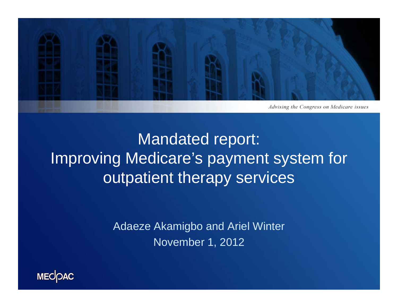

## Mandated report: Improving Medicare's payment system for outpatient therapy services

Adaeze Akamigbo and Ariel Winter November 1, 2012

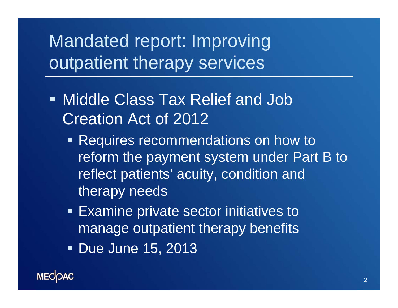Mandated report: Improving outpatient therapy services

- Middle Class Tax Relief and Job Creation Act of 2012
	- Requires recommendations on how to reform the payment system under Part B to reflect patients' acuity, condition and therapy needs
	- **Examine private sector initiatives to** manage outpatient therapy benefits
	- Due June 15, 2013

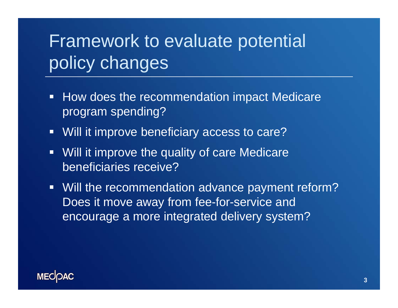# Framework to evaluate potential policy changes

- $\blacksquare$  How does the recommendation impact Medicare program spending?
- $\Box$ Will it improve beneficiary access to care?
- $\Box$ Will it improve the quality of care Medicare beneficiaries receive?
- Will the recommendation advance payment reform? Does it move away from fee-for-service and encourage a more integrated delivery system?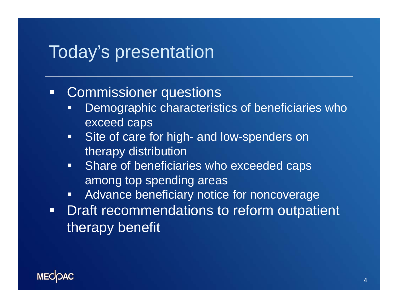#### Today's presentation

#### $\Box$ Commissioner questions

- Г Demographic characteristics of beneficiaries who exceed caps
- $\Box$ Site of care for high- and low-spenders on therapy distribution
- $\blacksquare$  Share of beneficiaries who exceeded caps among top spending areas
- Г Advance beneficiary notice for noncoverage
- $\blacksquare$  Draft recommendations to reform outpatient therapy benefit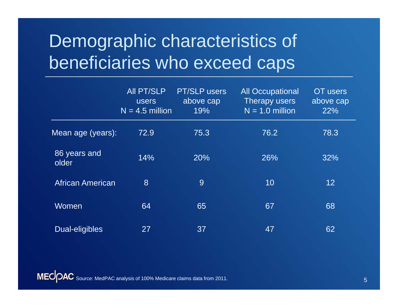# Demographic characteristics of beneficiaries who exceed caps

|                         | <b>AII PT/SLP</b><br><b>users</b><br>$N = 4.5$ million | <b>PT/SLP users</b><br>above cap<br>19% | <b>All Occupational</b><br>Therapy users<br>$N = 1.0$ million | OT users<br>above cap<br>22% |
|-------------------------|--------------------------------------------------------|-----------------------------------------|---------------------------------------------------------------|------------------------------|
| Mean age (years):       | 72.9                                                   | 75.3                                    | 76.2                                                          | 78.3                         |
| 86 years and<br>older   | 14%                                                    | 20%                                     | 26%                                                           | 32%                          |
| <b>African American</b> | 8                                                      | 9                                       | 10                                                            | 12                           |
| Women                   | 64                                                     | 65                                      | 67                                                            | 68                           |
| Dual-eligibles          | 27                                                     | 37                                      | 47                                                            | 62                           |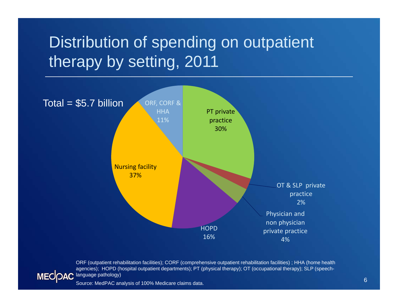## Distribution of spending on outpatient therapy by setting, 2011



ORF (outpatient rehabilitation facilities); CORF (comprehensive outpatient rehabilitation facilities) ; HHA (home health agencies); HOPD (hospital outpatient departments); PT (physical therapy); OT (occupational therapy); SLP (speech-MECOAC language pathology)

Source: MedPAC analysis of 100% Medicare claims data.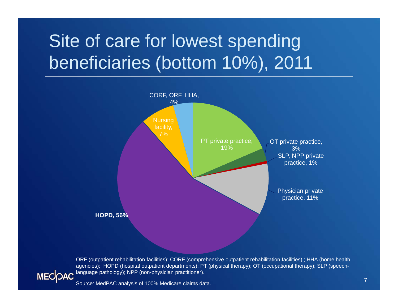# Site of care for lowest spending beneficiaries (bottom 10%), 2011



ORF (outpatient rehabilitation facilities); CORF (comprehensive outpatient rehabilitation facilities) ; HHA (home health agencies); HOPD (hospital outpatient departments); PT (physical therapy); OT (occupational therapy); SLP (speechlanguage pathology); NPP (non-physician practitioner). **MECOAC** 

Source: MedPAC analysis of 100% Medicare claims data.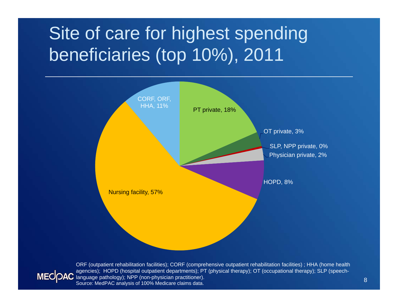# Site of care for highest spending beneficiaries (top 10%), 2011



ORF (outpatient rehabilitation facilities); CORF (comprehensive outpatient rehabilitation facilities) ; HHA (home health agencies); HOPD (hospital outpatient departments); PT (physical therapy); OT (occupational therapy); SLP (speech-MECOAC language pathology); NPP (non-physician practitioner). Source: MedPAC analysis of 100% Medicare claims data.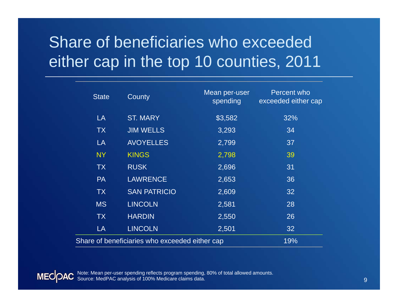## Share of beneficiaries who exceeded either cap in the top 10 counties, 2011

| <b>State</b>                                   | County              | Mean per-user<br>spending | <b>Percent who</b><br>exceeded either cap |
|------------------------------------------------|---------------------|---------------------------|-------------------------------------------|
| LA                                             | <b>ST. MARY</b>     | \$3,582                   | 32%                                       |
| <b>TX</b>                                      | <b>JIM WELLS</b>    | 3,293                     | 34                                        |
| LA                                             | <b>AVOYELLES</b>    | 2,799                     | 37                                        |
| <b>NY</b>                                      | <b>KINGS</b>        | 2,798                     | 39                                        |
| <b>TX</b>                                      | <b>RUSK</b>         | 2,696                     | 31                                        |
| <b>PA</b>                                      | <b>LAWRENCE</b>     | 2,653                     | 36                                        |
| <b>TX</b>                                      | <b>SAN PATRICIO</b> | 2,609                     | 32                                        |
| <b>MS</b>                                      | <b>LINCOLN</b>      | 2,581                     | 28                                        |
| <b>TX</b>                                      | <b>HARDIN</b>       | 2,550                     | 26                                        |
| LA                                             | <b>LINCOLN</b>      | 2,501                     | 32                                        |
| Share of beneficiaries who exceeded either cap | 19%                 |                           |                                           |

Note: Mean per-user spending reflects program spending, 80% of total allowed amounts. Source: MedPAC analysis of 100% Medicare claims data.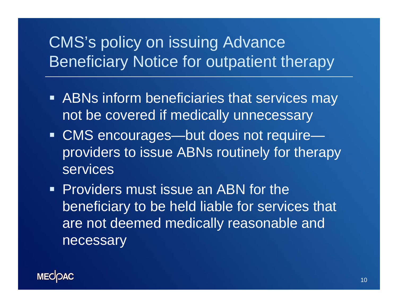#### CMS's policy on issuing Advance Beneficiary Notice for outpatient therapy

- **ABNs inform beneficiaries that services may** not be covered if medically unnecessary
- CMS encourages—but does not require providers to issue ABNs routinely for therapy services
- **Providers must issue an ABN for the** beneficiary to be held liable for services that are not deemed medically reasonable and necessary

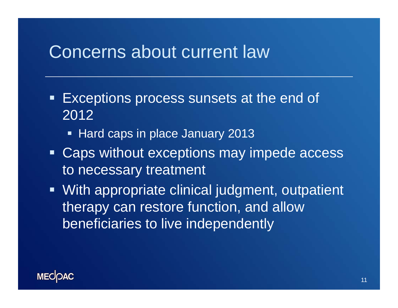#### Concerns about current law

- $\begin{array}{c} \rule{0.2cm}{0.15mm} \rule{0.2cm}{0.15mm} \rule{0.2cm}{0.15mm} \rule{0.2cm}{0.15mm} \rule{0.2cm}{0.15mm} \rule{0.2cm}{0.15mm} \rule{0.2cm}{0.15mm} \rule{0.2cm}{0.15mm} \rule{0.2cm}{0.15mm} \rule{0.2cm}{0.15mm} \rule{0.2cm}{0.15mm} \rule{0.2cm}{0.15mm} \rule{0.2cm}{0.15mm} \rule{0.2cm}{0.15mm} \rule{0.2cm}{0.15mm} \rule{$  Exceptions process sunsets at the end of 2012
	- Hard caps in place January 2013
- Caps without exceptions may impede access to necessary treatment
- **With appropriate clinical judgment, outpatient** therapy can restore function, and allow beneficiaries to live independently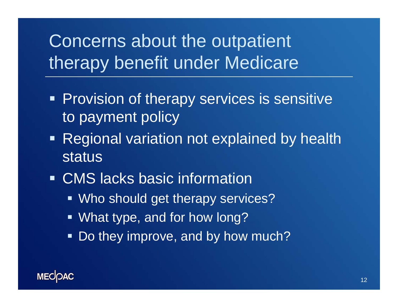# Concerns about the outpatient therapy benefit under Medicare

- **Provision of therapy services is sensitive** to payment policy
- **Regional variation not explained by health** status
- CMS lacks basic information
	- **Who should get therapy services?**
	- What type, and for how long?
	- $\blacksquare$ Do they improve, and by how much?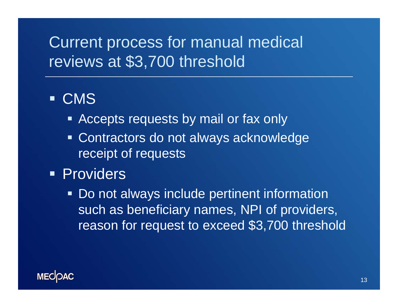#### Current process for manual medical reviews at \$3,700 threshold

#### CMS

- **EXPLEM** Accepts requests by mail or fax only
- **EXECONTER CONTERGO CONTER CONTERER** CONTERCTED **CONTER** receipt of requests
- **Providers** 
	- **Do not always include pertinent information** such as beneficiary names, NPI of providers, reason for request to exceed \$3,700 threshold